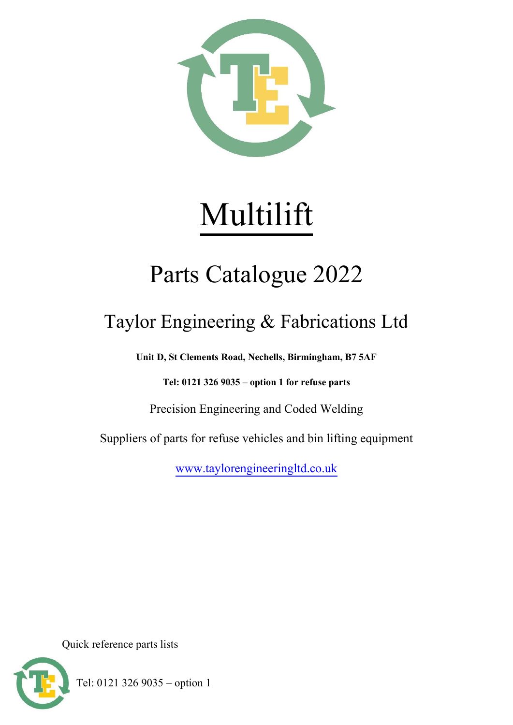

# Multilift

## Parts Catalogue 2022

## Taylor Engineering & Fabrications Ltd

**Unit D, St Clements Road, Nechells, Birmingham, B7 5AF**

**Tel: 0121 326 9035 – option 1 for refuse parts**

Precision Engineering and Coded Welding

Suppliers of parts for refuse vehicles and bin lifting equipment

[www.taylorengineeringltd.co.uk](http://www.taylorengineeringltd.co.uk/)

Quick reference parts lists



Tel: 0121 326 9035 – option 1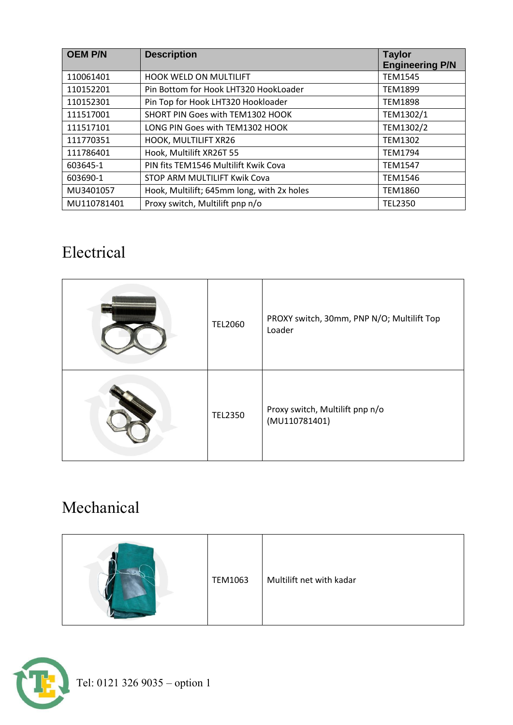| <b>OEM P/N</b> | <b>Description</b>                         | <b>Taylor</b><br><b>Engineering P/N</b> |
|----------------|--------------------------------------------|-----------------------------------------|
| 110061401      | HOOK WELD ON MULTILIFT                     | <b>TEM1545</b>                          |
| 110152201      | Pin Bottom for Hook LHT320 HookLoader      | <b>TEM1899</b>                          |
| 110152301      | Pin Top for Hook LHT320 Hookloader         | <b>TEM1898</b>                          |
| 111517001      | SHORT PIN Goes with TEM1302 HOOK           | TEM1302/1                               |
| 111517101      | LONG PIN Goes with TEM1302 HOOK            | TEM1302/2                               |
| 111770351      | HOOK, MULTILIFT XR26                       | <b>TEM1302</b>                          |
| 111786401      | Hook, Multilift XR26T 55                   | <b>TEM1794</b>                          |
| 603645-1       | PIN fits TEM1546 Multilift Kwik Cova       | <b>TEM1547</b>                          |
| 603690-1       | STOP ARM MULTILIFT Kwik Cova               | <b>TEM1546</b>                          |
| MU3401057      | Hook, Multilift; 645mm long, with 2x holes | <b>TEM1860</b>                          |
| MU110781401    | Proxy switch, Multilift pnp n/o            | <b>TEL2350</b>                          |

#### Electrical

| <b>TEL2060</b> | PROXY switch, 30mm, PNP N/O; Multilift Top<br>Loader |
|----------------|------------------------------------------------------|
| <b>TEL2350</b> | Proxy switch, Multilift pnp n/o<br>(MU110781401)     |

### Mechanical

|  | <b>TEM1063</b> | Multilift net with kadar |
|--|----------------|--------------------------|
|--|----------------|--------------------------|

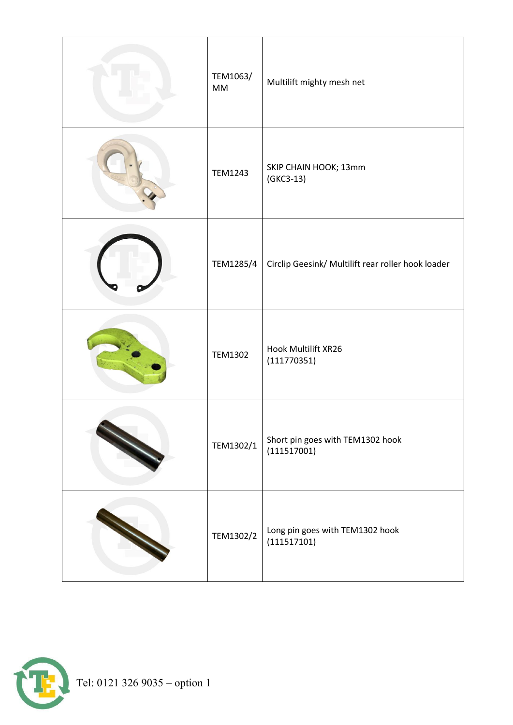| TEM1063/<br>MM | Multilift mighty mesh net                          |
|----------------|----------------------------------------------------|
| <b>TEM1243</b> | SKIP CHAIN HOOK; 13mm<br>$(GKC3-13)$               |
| TEM1285/4      | Circlip Geesink/ Multilift rear roller hook loader |
| <b>TEM1302</b> | Hook Multilift XR26<br>(111770351)                 |
| TEM1302/1      | Short pin goes with TEM1302 hook<br>(111517001)    |
| TEM1302/2      | Long pin goes with TEM1302 hook<br>(111517101)     |

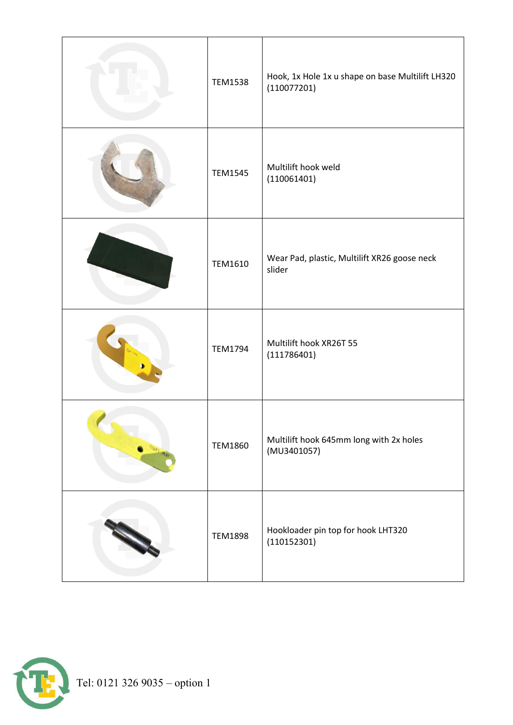| <b>TEM1538</b> | Hook, 1x Hole 1x u shape on base Multilift LH320<br>(110077201) |
|----------------|-----------------------------------------------------------------|
| <b>TEM1545</b> | Multilift hook weld<br>(110061401)                              |
| TEM1610        | Wear Pad, plastic, Multilift XR26 goose neck<br>slider          |
| <b>TEM1794</b> | Multilift hook XR26T 55<br>(111786401)                          |
| <b>TEM1860</b> | Multilift hook 645mm long with 2x holes<br>(MU3401057)          |
| <b>TEM1898</b> | Hookloader pin top for hook LHT320<br>(110152301)               |